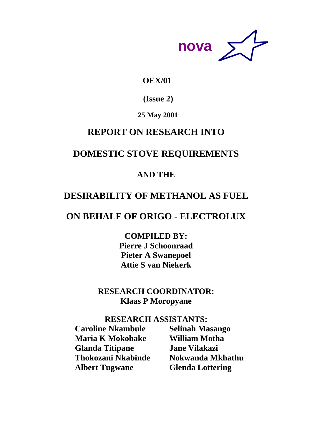

# **OEX/01**

 **(Issue 2)** 

# **25 May 2001**

# **REPORT ON RESEARCH INTO**

# **DOMESTIC STOVE REQUIREMENTS**

# **AND THE**

# **DESIRABILITY OF METHANOL AS FUEL**

# **ON BEHALF OF ORIGO - ELECTROLUX**

**COMPILED BY: Pierre J Schoonraad Pieter A Swanepoel Attie S van Niekerk**

# **RESEARCH COORDINATOR: Klaas P Moropyane**

# **RESEARCH ASSISTANTS:**

**Caroline Nkambule Selinah Masango Maria K Mokobake William Motha Glanda Titipane Jane Vilakazi Thokozani Nkabinde Nokwanda Mkhathu Albert Tugwane Glenda Lottering**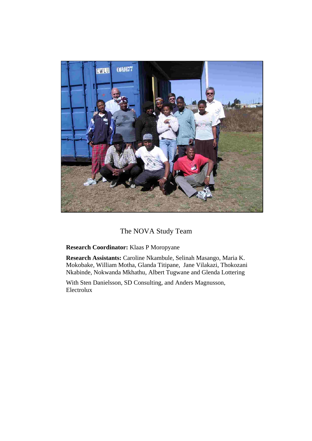

# The NOVA Study Team

**Research Coordinator:** Klaas P Moropyane

**Research Assistants:** Caroline Nkambule, Selinah Masango, Maria K. Mokobake, William Motha, Glanda Titipane, Jane Vilakazi, Thokozani Nkabinde, Nokwanda Mkhathu, Albert Tugwane and Glenda Lottering

With Sten Danielsson, SD Consulting, and Anders Magnusson, Electrolux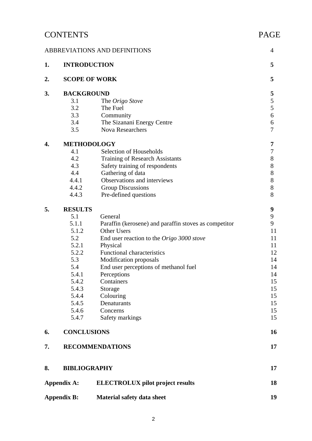# CONTENTS PAGE ABBREVIATIONS AND DEFINITIONS 4 **1. INTRODUCTION 5** 2. **SCOPE OF WORK** 5 **3.** BACKGROUND 5<br>3.1 The Origo Stove 5 3.1 The *Origo Stove* 3.2 The Fuel 5 3.3 Community 6 3.4 The Sizanani Energy Centre 6 3.5 Nova Researchers 7 **4. METHODOLOGY 7** 4.1 Selection of Households 7<br>4.2 Training of Research Assistants 8 Training of Research Assistants 8 4.3 Safety training of respondents 8 4.4 Gathering of data 8 4.4.1 Observations and interviews 8 4.4.2 Group Discussions 8 4.4.3 Pre-defined questions 8 **5. RESULTS 9** 5.1 General 9 5.1.1 Paraffin (kerosene) and paraffin stoves as competitor 9 5.1.2 Other Users 11 5.2 End user reaction to the *Origo 3000 stove* 11 5.2.1 Physical 11 5.2.2 Functional characteristics 12 5.3 Modification proposals 14 5.4 End user perceptions of methanol fuel 14 5.4.1 Perceptions 14 5.4.2 Containers 15 5.4.3 Storage 15 5.4.4 Colouring 15 5.4.5 Denaturants 15 5.4.6 Concerns 15 5.4.7 Safety markings 15 **6. CONCLUSIONS 16 7. RECOMMENDATIONS 17 8. BIBLIOGRAPHY 17** Appendix A: ELECTROLUX pilot project results 18 Appendix B: Material safety data sheet 19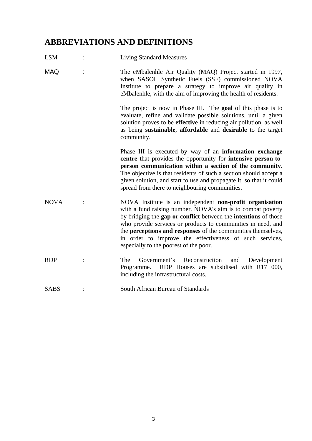# **ABBREVIATIONS AND DEFINITIONS**

LSM : Living Standard Measures

| <b>MAQ</b>  | The eMbalenhle Air Quality (MAQ) Project started in 1997,<br>when SASOL Synthetic Fuels (SSF) commissioned NOVA<br>Institute to prepare a strategy to improve air quality in<br>eMbalenhle, with the aim of improving the health of residents.                                                                                                                                                                                                |
|-------------|-----------------------------------------------------------------------------------------------------------------------------------------------------------------------------------------------------------------------------------------------------------------------------------------------------------------------------------------------------------------------------------------------------------------------------------------------|
|             | The project is now in Phase III. The goal of this phase is to<br>evaluate, refine and validate possible solutions, until a given<br>solution proves to be effective in reducing air pollution, as well<br>as being sustainable, affordable and desirable to the target<br>community.                                                                                                                                                          |
|             | Phase III is executed by way of an <b>information</b> exchange<br>centre that provides the opportunity for intensive person-to-<br>person communication within a section of the community.<br>The objective is that residents of such a section should accept a<br>given solution, and start to use and propagate it, so that it could<br>spread from there to neighbouring communities.                                                      |
| <b>NOVA</b> | NOVA Institute is an independent non-profit organisation<br>with a fund raising number. NOVA's aim is to combat poverty<br>by bridging the <b>gap or conflict</b> between the <b>intentions</b> of those<br>who provide services or products to communities in need, and<br>the perceptions and responses of the communities themselves,<br>in order to improve the effectiveness of such services,<br>especially to the poorest of the poor. |
| <b>RDP</b>  | The<br>Government's Reconstruction<br>and Development<br>RDP Houses are subsidised with R17 000,<br>Programme.<br>including the infrastructural costs.                                                                                                                                                                                                                                                                                        |
| SABS        | South African Bureau of Standards                                                                                                                                                                                                                                                                                                                                                                                                             |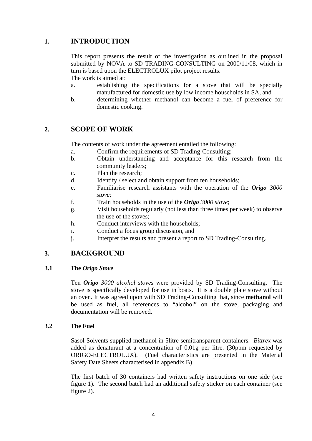# **1. INTRODUCTION**

This report presents the result of the investigation as outlined in the proposal submitted by NOVA to SD TRADING-CONSULTING on 2000/11/08, which in turn is based upon the ELECTROLUX pilot project results.

The work is aimed at:

- a. establishing the specifications for a stove that will be specially manufactured for domestic use by low income households in SA, and
- b. determining whether methanol can become a fuel of preference for domestic cooking.

## **2. SCOPE OF WORK**

The contents of work under the agreement entailed the following:

- a. Confirm the requirements of SD Trading-Consulting;
- b. Obtain understanding and acceptance for this research from the community leaders;
- c. Plan the research;
- d. Identify / select and obtain support from ten households;
- e. Familiarise research assistants with the operation of the *Origo 3000 stove*;
- f. Train households in the use of the *Origo 3000 stove*;
- g. Visit households regularly (not less than three times per week) to observe the use of the stoves;
- h. Conduct interviews with the households;
- i. Conduct a focus group discussion, and
- j. Interpret the results and present a report to SD Trading-Consulting*.*

## **3. BACKGROUND**

#### **3.1 The** *Origo Stove*

Ten *Origo 3000 alcohol stoves* were provided by SD Trading-Consulting. The stove is specifically developed for use in boats. It is a double plate stove without an oven. It was agreed upon with SD Trading-Consulting that, since **methanol** will be used as fuel, all references to "alcohol" on the stove, packaging and documentation will be removed.

## **3.2 The Fuel**

Sasol Solvents supplied methanol in 5litre semitransparent containers. *Bittrex* was added as denaturant at a concentration of 0.01g per litre. (30ppm requested by ORIGO-ELECTROLUX). (Fuel characteristics are presented in the Material Safety Date Sheets characterised in appendix B)

The first batch of 30 containers had written safety instructions on one side (see figure 1). The second batch had an additional safety sticker on each container (see figure 2).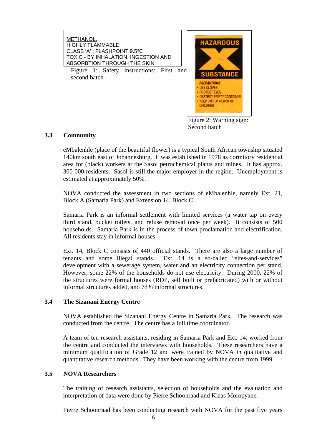

Figure 2: Warning sign: Second batch

#### **3.3 Community**

eMbalenhle (place of the beautiful flower) is a typical South African township situated 140km south east of Johannesburg. It was established in 1978 as dormitory residential area for (black) workers at the Sasol petrochemical plants and mines. It has approx. 300 000 residents. Sasol is still the major employer in the region. Unemployment is estimated at approximately 50%.

NOVA conducted the assessment in two sections of eMbalenhle, namely Ext. 21, Block A (Samaria Park) and Extension 14, Block C.

Samaria Park is an informal settlement with limited services (a water tap on every third stand, bucket toilets, and refuse removal once per week). It consists of 500 households. Samaria Park is in the process of town proclamation and electrification. All residents stay in informal houses.

Ext. 14, Block C consists of 440 official stands. There are also a large number of tenants and some illegal stands. Ext. 14 is a so-called "sites-and-services" development with a sewerage system, water and an electricity connection per stand. However, some 22% of the households do not use electricity. During 2000, 22% of the structures were formal houses (RDP, self built or prefabricated) with or without informal structures added, and 78% informal structures.

## **3.4 The Sizanani Energy Centre**

NOVA established the Sizanani Energy Centre in Samaria Park. The research was conducted from the centre. The centre has a full time coordinator.

A team of ten research assistants, residing in Samaria Park and Ext. 14, worked from the centre and conducted the interviews with households. These researchers have a minimum qualification of Grade 12 and were trained by NOVA in qualitative and quantitative research methods. They have been working with the centre from 1999.

#### **3.5 NOVA Researchers**

 The training of research assistants, selection of households and the evaluation and interpretation of data were done by Pierre Schoonraad and Klaas Moropyane.

Pierre Schoonraad has been conducting research with NOVA for the past five years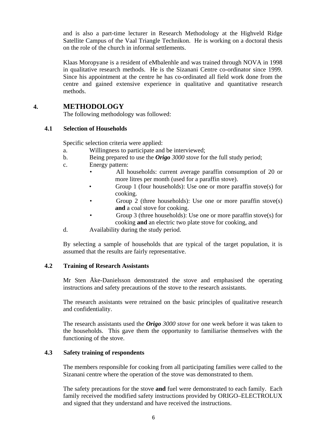and is also a part-time lecturer in Research Methodology at the Highveld Ridge Satellite Campus of the Vaal Triangle Technikon. He is working on a doctoral thesis on the role of the church in informal settlements.

Klaas Moropyane is a resident of eMbalenhle and was trained through NOVA in 1998 in qualitative research methods. He is the Sizanani Centre co-ordinator since 1999. Since his appointment at the centre he has co-ordinated all field work done from the centre and gained extensive experience in qualitative and quantitative research methods.

## **4. METHODOLOGY**

The following methodology was followed:

## **4.1 Selection of Households**

Specific selection criteria were applied:

- a. Willingness to participate and be interviewed;
- b. Being prepared to use the *Origo 3000 stove* for the full study period;
- c. Energy pattern:
	- All households: current average paraffin consumption of 20 or more litres per month (used for a paraffin stove).
	- Group 1 (four households): Use one or more paraffin stove(s) for cooking.
	- Group 2 (three households): Use one or more paraffin stove(s) **and** a coal stove for cooking.
	- Group 3 (three households): Use one or more paraffin stove(s) for cooking **and** an electric two plate stove for cooking, and
- d. Availability during the study period.

By selecting a sample of households that are typical of the target population, it is assumed that the results are fairly representative.

## **4.2 Training of Research Assistants**

Mr Sten Åke-Danielsson demonstrated the stove and emphasised the operating instructions and safety precautions of the stove to the research assistants.

The research assistants were retrained on the basic principles of qualitative research and confidentiality.

The research assistants used the *Origo 3000 stove* for one week before it was taken to the households. This gave them the opportunity to familiarise themselves with the functioning of the stove.

## **4.3 Safety training of respondents**

The members responsible for cooking from all participating families were called to the Sizanani centre where the operation of the stove was demonstrated to them.

The safety precautions for the stove **and** fuel were demonstrated to each family. Each family received the modified safety instructions provided by ORIGO–ELECTROLUX and signed that they understand and have received the instructions.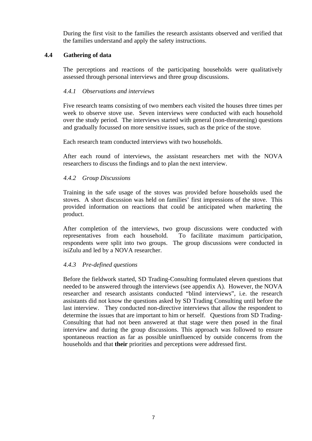During the first visit to the families the research assistants observed and verified that the families understand and apply the safety instructions.

## **4.4 Gathering of data**

The perceptions and reactions of the participating households were qualitatively assessed through personal interviews and three group discussions.

## *4.4.1 Observations and interviews*

Five research teams consisting of two members each visited the houses three times per week to observe stove use. Seven interviews were conducted with each household over the study period. The interviews started with general (non-threatening) questions and gradually focussed on more sensitive issues, such as the price of the stove.

Each research team conducted interviews with two households.

After each round of interviews, the assistant researchers met with the NOVA researcher*s* to discuss the findings and to plan the next interview.

## *4.4.2 Group Discussions*

Training in the safe usage of the stoves was provided before households used the stoves. A short discussion was held on families' first impressions of the stove. This provided information on reactions that could be anticipated when marketing the product.

After completion of the interviews, two group discussions were conducted with representatives from each household. To facilitate maximum participation, respondents were split into two groups. The group discussions were conducted in isiZulu and led by a NOVA researcher.

## *4.4.3 Pre-defined questions*

Before the fieldwork started, SD Trading-Consulting formulated eleven questions that needed to be answered through the interviews (see appendix A). However, the NOVA researcher and research assistants conducted "blind interviews", i.e. the research assistants did not know the questions asked by SD Trading Consulting until before the last interview. They conducted non-directive interviews that allow the respondent to determine the issues that are important to him or herself. Questions from SD Trading-Consulting that had not been answered at that stage were then posed in the final interview and during the group discussions. This approach was followed to ensure spontaneous reaction as far as possible uninfluenced by outside concerns from the households and that **their** priorities and perceptions were addressed first.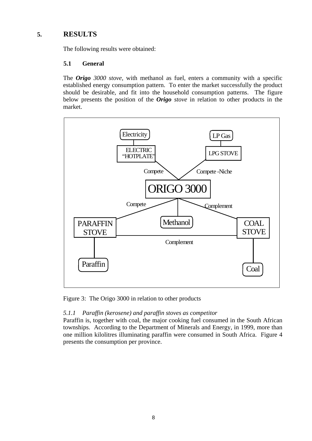# **5. RESULTS**

The following results were obtained:

## **5.1 General**

The *Origo 3000 stove,* with methanol as fuel, enters a community with a specific established energy consumption pattern. To enter the market successfully the product should be desirable, and fit into the household consumption patterns. The figure below presents the position of the *Origo stove* in relation to other products in the market.



Figure 3: The Origo 3000 in relation to other products

## *5.1.1 Paraffin (kerosene) and paraffin stoves as competitor*

Paraffin is, together with coal, the major cooking fuel consumed in the South African townships. According to the Department of Minerals and Energy, in 1999, more than one million kilolitres illuminating paraffin were consumed in South Africa. Figure 4 presents the consumption per province.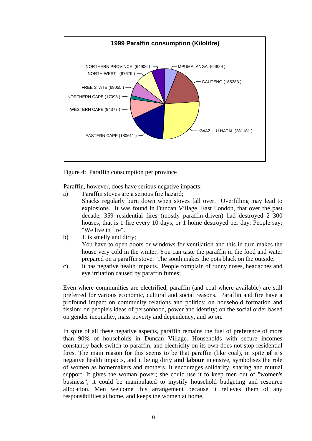

Figure 4: Paraffin consumption per province

Paraffin, however, does have serious negative impacts:

a) Paraffin stoves are a serious fire hazard; Shacks regularly burn down when stoves fall over. Overfilling may lead to explosions. It was found in Duncan Village, East London, that over the past decade, 359 residential fires (mostly paraffin-driven) had destroyed 2 300 houses, that is 1 fire every 10 days, or 1 home destroyed per day. People say: "We live in fire".

- b) It is smelly and dirty; You have to open doors or windows for ventilation and this in turn makes the house very cold in the winter. You can taste the paraffin in the food and water prepared on a paraffin stove. The sooth makes the pots black on the outside.
- c) It has negative health impacts. People complain of runny noses, headaches and eye irritation caused by paraffin fumes;

Even where communities are electrified, paraffin (and coal where available) are still preferred for various economic, cultural and social reasons. Paraffin and fire have a profound impact on community relations and politics; on household formation and fission; on people's ideas of personhood, power and identity; on the social order based on gender inequality, mass poverty and dependency, and so on.

In spite of all these negative aspects, paraffin remains the fuel of preference of more than 90% of households in Duncan Village. Households with secure incomes constantly back-switch to paraffin, and electricity on its own does not stop residential fires. The main reason for this seems to be that paraffin (like coal), in spite **of** it's negative health impacts, and it being dirty **and labour** intensive, symbolises the role of women as homemakers and mothers. It encourages solidarity, sharing and mutual support. It gives the woman power; she could use it to keep men out of "women's business"; it could be manipulated to mystify household budgeting and resource allocation. Men welcome this arrangement because it relieves them of any responsibilities at home, and keeps the women at home.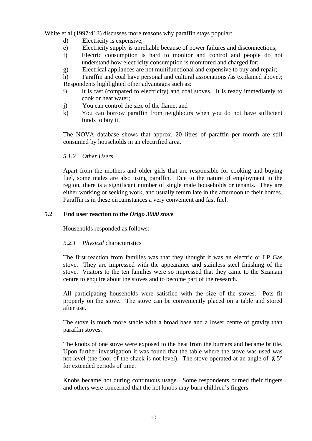White et al (1997:413) discusses more reasons why paraffin stays popular:

- d) Electricity is expensive;
- e) Electricity supply is unreliable because of power failures and disconnections;
- f) Electric consumption is hard to monitor and control and people do not understand how electricity consumption is monitored and charged for;
- g) Electrical appliances are not multifunctional and expensive to buy and repair;
- h) Paraffin and coal have personal and cultural associations *(*as explained above*)*; Respondents highlighted other advantages such as:
- i) It is fast (compared to electricity) and coal stoves. It is ready immediately to cook or heat water;
- j) You can control the size of the flame, and
- k) You can borrow paraffin from neighbours when you do not have sufficient funds to buy it.

The NOVA database shows that approx. 20 litres of paraffin per month are still consumed by households in an electrified area.

*5.1.2 Other Users* 

Apart from the mothers and older girls that are responsible for cooking and buying fuel, some males are also using paraffin. Due to the nature of employment in the region, there is a significant number of single male households or tenants. They are either working or seeking work, and usually return late in the afternoon to their homes. Paraffin is in these circumstances a very convenient and fast fuel.

#### **5.2 End user reaction to the** *Origo 3000 stove*

Households responded as follows:

#### *5.2.1 Physical* characteristics

The first reaction from families was that they thought it was an electric or LP Gas stove. They are impressed with the appearance and stainless steel finishing of the stove. Visitors to the ten families were so impressed that they came to the Sizanani centre to enquire about the stoves and to become part of the research.

All participating households were satisfied with the size of the stoves. Pots fit properly on the stove. The stove can be conveniently placed on a table and stored after use.

The stove is much more stable with a broad base and a lower centre of gravity than paraffin stoves.

The knobs of one stove were exposed to the heat from the burners and became brittle. Upon further investigation it was found that the table where the stove was used was not level (the floor of the shack is not level). The stove operated at an angle of  $\beta$  5° for extended periods of time.

Knobs became hot during continuous usage. Some respondents burned their fingers and others were concerned that the hot knobs may burn children's fingers.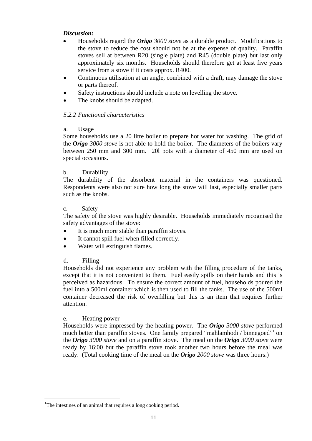#### *Discussion:*

- Households regard the *Origo 3000 stove* as a durable product. Modifications to the stove to reduce the cost should not be at the expense of quality. Paraffin stoves sell at between R20 (single plate) and R45 (double plate) but last only approximately six months. Households should therefore get at least five years service from a stove if it costs approx. R400.
- Continuous utilisation at an angle, combined with a draft, may damage the stove or parts thereof.
- Safety instructions should include a note on levelling the stove.
- The knobs should be adapted.

## *5.2.2 Functional characteristics*

## a. Usage

Some households use a 20 litre boiler to prepare hot water for washing. The grid of the *Origo 3000 stove* is not able to hold the boiler. The diameters of the boilers vary between 250 mm and 300 mm. 20l pots with a diameter of 450 mm are used on special occasions.

#### b. Durability

The durability of the absorbent material in the containers was questioned. Respondents were also not sure how long the stove will last, especially smaller parts such as the knobs.

#### c. Safety

The safety of the stove was highly desirable. Households immediately recognised the safety advantages of the stove:

- It is much more stable than paraffin stoves.
- It cannot spill fuel when filled correctly.
- Water will extinguish flames.

## d. Filling

Households did not experience any problem with the filling procedure of the tanks, except that it is not convenient to them. Fuel easily spills on their hands and this is perceived as hazardous. To ensure the correct amount of fuel, households poured the fuel into a 500ml container which is then used to fill the tanks. The use of the 500ml container decreased the risk of overfilling but this is an item that requires further attention.

#### e. Heating power

l

Households were impressed by the heating power. The *Origo 3000 stove* performed much better than paraffin stoves. One family prepared "mahlamhodi / binnegoed"<sup>1</sup> on the *Origo 3000 stove* and on a paraffin stove. The meal on the *Origo 3000 stove* were ready by 16:00 but the paraffin stove took another two hours before the meal was ready. (Total cooking time of the meal on the *Origo 2000 stove* was three hours.)

<sup>&</sup>lt;sup>1</sup>The intestines of an animal that requires a long cooking period.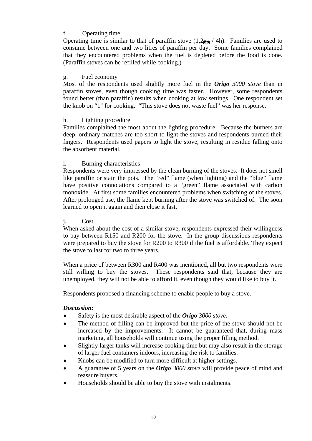## f. Operating time

Operating time is similar to that of paraffin stove  $(1,2)$ <sub> $\rightarrow$ </sub> / 4h). Families are used to consume between one and two litres of paraffin per day. Some families complained that they encountered problems when the fuel is depleted before the food is done. (Paraffin stoves can be refilled while cooking.)

#### g. Fuel economy

Most of the respondents used slightly more fuel in the *Origo 3000 stove* than in paraffin stoves, even though cooking time was faster. However, some respondents found better (than paraffin) results when cooking at low settings. One respondent set the knob on "1" for cooking. "This stove does not waste fuel" was her response.

#### h. Lighting procedure

Families complained the most about the lighting procedure. Because the burners are deep, ordinary matches are too short to light the stoves and respondents burned their fingers. Respondents used papers to light the stove, resulting in residue falling onto the absorbent material.

#### i. Burning characteristics

Respondents were very impressed by the clean burning of the stoves. It does not smell like paraffin or stain the pots. The "red" flame (when lighting) and the "blue" flame have positive connotations compared to a "green" flame associated with carbon monoxide. At first some families encountered problems when switching of the stoves. After prolonged use, the flame kept burning after the stove was switched of. The soon learned to open it again and then close it fast.

#### j. Cost

When asked about the cost of a similar stove, respondents expressed their willingness to pay between R150 and R200 for the stove. In the group discussions respondents were prepared to buy the stove for R200 to R300 if the fuel is affordable. They expect the stove to last for two to three years.

When a price of between R300 and R400 was mentioned, all but two respondents were still willing to buy the stoves. These respondents said that, because they are unemployed, they will not be able to afford it, even though they would like to buy it.

Respondents proposed a financing scheme to enable people to buy a stove.

#### *Discussion:*

- Safety is the most desirable aspect of the *Origo 3000 stove*.
- The method of filling can be improved but the price of the stove should not be increased by the improvements. It cannot be guaranteed that, during mass marketing, all households will continue using the proper filling method.
- Slightly larger tanks will increase cooking time but may also result in the storage of larger fuel containers indoors, increasing the risk to families.
- Knobs can be modified to turn more difficult at higher settings.
- A guarantee of 5 years on the *Origo 3000 stove* will provide peace of mind and reassure buyers.
- Households should be able to buy the stove with instalments.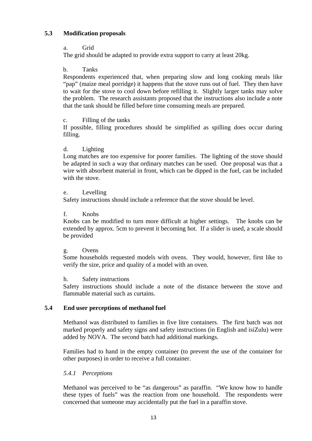#### **5.3 Modification proposals**

a. Grid

The grid should be adapted to provide extra support to carry at least 20kg.

b. Tanks

Respondents experienced that, when preparing slow and long cooking meals like "pap" (maize meal porridge) it happens that the stove runs out of fuel. They then have to wait for the stove to cool down before refilling it. Slightly larger tanks may solve the problem. The research assistants proposed that the instructions also include a note that the tank should be filled before time consuming meals are prepared.

#### c. Filling of the tanks

If possible, filling procedures should be simplified as spilling does occur during filling.

#### d. Lighting

Long matches are too expensive for poorer families. The lighting of the stove should be adapted in such a way that ordinary matches can be used. One proposal was that a wire with absorbent material in front, which can be dipped in the fuel, can be included with the stove.

#### e. Levelling

Safety instructions should include a reference that the stove should be level.

#### f. Knobs

Knobs can be modified to turn more difficult at higher settings. The knobs can be extended by approx. 5cm to prevent it becoming hot. If a slider is used, a scale should be provided

#### g. Ovens

Some households requested models with ovens. They would, however, first like to verify the size, price and quality of a model with an oven.

#### h. Safety instructions

Safety instructions should include a note of the distance between the stove and flammable material such as curtains.

## **5.4 End user perceptions of methanol fuel**

Methanol was distributed to families in five litre containers. The first batch was not marked properly and safety signs and safety instructions (in English and isiZulu) were added by NOVA. The second batch had additional markings.

Families had to hand in the empty container (to prevent the use of the container for other purposes) in order to receive a full container.

## *5.4.1 Perceptions*

Methanol was perceived to be "as dangerous" as paraffin. "We know how to handle these types of fuels" was the reaction from one household. The respondents were concerned that someone may accidentally put the fuel in a paraffin stove.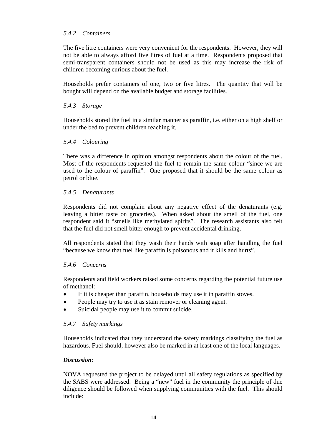## *5.4.2 Containers*

The five litre containers were very convenient for the respondents. However, they will not be able to always afford five litres of fuel at a time. Respondents proposed that semi-transparent containers should not be used as this may increase the risk of children becoming curious about the fuel.

Households prefer containers of one, two or five litres. The quantity that will be bought will depend on the available budget and storage facilities.

#### *5.4.3 Storage*

Households stored the fuel in a similar manner as paraffin, i.e. either on a high shelf or under the bed to prevent children reaching it.

#### *5.4.4 Colouring*

There was a difference in opinion amongst respondents about the colour of the fuel. Most of the respondents requested the fuel to remain the same colour "since we are used to the colour of paraffin". One proposed that it should be the same colour as petrol or blue.

#### *5.4.5 Denaturants*

Respondents did not complain about any negative effect of the denaturants (e.g. leaving a bitter taste on groceries). When asked about the smell of the fuel, one respondent said it "smells like methylated spirits". The research assistants also felt that the fuel did not smell bitter enough to prevent accidental drinking.

All respondents stated that they wash their hands with soap after handling the fuel "because we know that fuel like paraffin is poisonous and it kills and hurts".

#### *5.4.6 Concerns*

Respondents and field workers raised some concerns regarding the potential future use of methanol:

- If it is cheaper than paraffin, households may use it in paraffin stoves.
- People may try to use it as stain remover or cleaning agent.
- Suicidal people may use it to commit suicide.

#### *5.4.7 Safety markings*

Households indicated that they understand the safety markings classifying the fuel as hazardous. Fuel should, however also be marked in at least one of the local languages.

#### *Discussion*:

NOVA requested the project to be delayed until all safety regulations as specified by the SABS were addressed. Being a "new" fuel in the community the principle of due diligence should be followed when supplying communities with the fuel. This should include: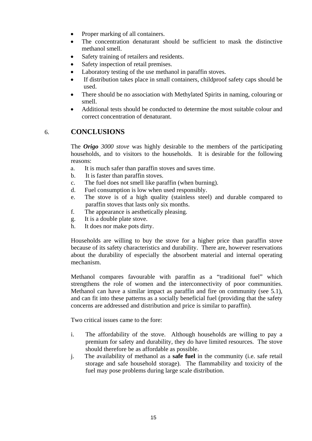- Proper marking of all containers.
- The concentration denaturant should be sufficient to mask the distinctive methanol smell.
- Safety training of retailers and residents.
- Safety inspection of retail premises.
- Laboratory testing of the use methanol in paraffin stoves.
- If distribution takes place in small containers, childproof safety caps should be used.
- There should be no association with Methylated Spirits in naming, colouring or smell.
- Additional tests should be conducted to determine the most suitable colour and correct concentration of denaturant.

## 6. **CONCLUSIONS**

The *Origo 3000 stove* was highly desirable to the members of the participating households, and to visitors to the households. It is desirable for the following reasons:

- a. It is much safer than paraffin stoves and saves time.
- b. It is faster than paraffin stoves.
- c. The fuel does not smell like paraffin (when burning).
- d. Fuel consumption is low when used responsibly.
- e. The stove is of a high quality (stainless steel) and durable compared to paraffin stoves that lasts only six months.
- f. The appearance is aesthetically pleasing.
- g. It is a double plate stove.
- h. It does nor make pots dirty.

Households are willing to buy the stove for a higher price than paraffin stove because of its safety characteristics and durability. There are, however reservations about the durability of especially the absorbent material and internal operating mechanism.

Methanol compares favourable with paraffin as a "traditional fuel" which strengthens the role of women and the interconnectivity of poor communities. Methanol can have a similar impact as paraffin and fire on community (see 5.1), and can fit into these patterns as a socially beneficial fuel (providing that the safety concerns are addressed and distribution and price is similar to paraffin).

Two critical issues came to the fore:

- i. The affordability of the stove. Although households are willing to pay a premium for safety and durability, they do have limited resources. The stove should therefore be as affordable as possible.
- j. The availability of methanol as a **safe fuel** in the community (i.e. safe retail storage and safe household storage). The flammability and toxicity of the fuel may pose problems during large scale distribution.